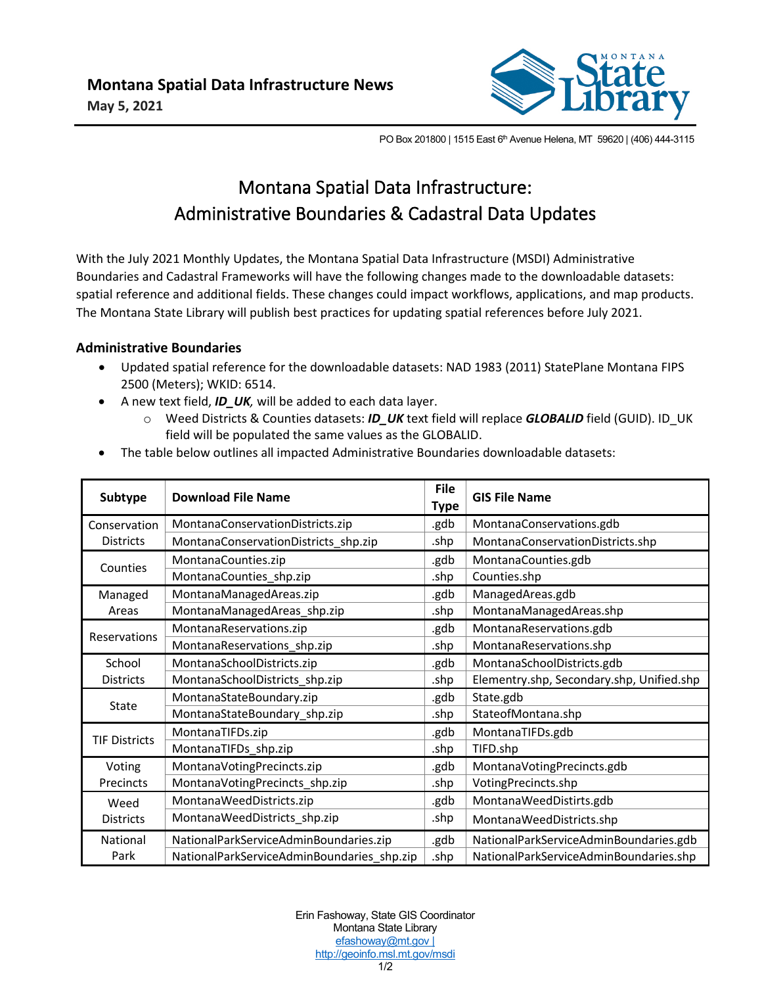

PO Box 201800 | 1515 East 6<sup>th</sup> Avenue Helena, MT 59620 | (406) 444-3115

## Montana Spatial Data Infrastructure: Administrative Boundaries & Cadastral Data Updates

With the July 2021 Monthly Updates, the Montana Spatial Data Infrastructure (MSDI) Administrative Boundaries and Cadastral Frameworks will have the following changes made to the downloadable datasets: spatial reference and additional fields. These changes could impact workflows, applications, and map products. The Montana State Library will publish best practices for updating spatial references before July 2021.

## **Administrative Boundaries**

- Updated spatial reference for the downloadable datasets: NAD 1983 (2011) StatePlane Montana FIPS 2500 (Meters); WKID: 6514.
- A new text field, *ID\_UK,* will be added to each data layer.
	- o Weed Districts & Counties datasets: *ID\_UK* text field will replace *GLOBALID* field (GUID). ID\_UK field will be populated the same values as the GLOBALID.
- The table below outlines all impacted Administrative Boundaries downloadable datasets:

| Subtype                          | <b>Download File Name</b>                  | <b>File</b><br><b>Type</b> | <b>GIS File Name</b>                      |
|----------------------------------|--------------------------------------------|----------------------------|-------------------------------------------|
| Conservation<br><b>Districts</b> | MontanaConservationDistricts.zip           | .gdb                       | MontanaConservations.gdb                  |
|                                  | MontanaConservationDistricts_shp.zip       | .shp                       | MontanaConservationDistricts.shp          |
| Counties                         | MontanaCounties.zip                        | .gdb                       | MontanaCounties.gdb                       |
|                                  | MontanaCounties shp.zip                    | .shp                       | Counties.shp                              |
| Managed<br>Areas                 | MontanaManagedAreas.zip                    | .gdb                       | ManagedAreas.gdb                          |
|                                  | MontanaManagedAreas_shp.zip                | .shp                       | MontanaManagedAreas.shp                   |
| Reservations                     | MontanaReservations.zip                    | .gdb                       | MontanaReservations.gdb                   |
|                                  | MontanaReservations_shp.zip                | .shp                       | MontanaReservations.shp                   |
| School<br><b>Districts</b>       | MontanaSchoolDistricts.zip                 | .gdb                       | MontanaSchoolDistricts.gdb                |
|                                  | MontanaSchoolDistricts_shp.zip             | .shp                       | Elementry.shp, Secondary.shp, Unified.shp |
| State                            | MontanaStateBoundary.zip                   | .gdb                       | State.gdb                                 |
|                                  | MontanaStateBoundary_shp.zip               | .shp                       | StateofMontana.shp                        |
| <b>TIF Districts</b>             | MontanaTIFDs.zip                           | .gdb                       | MontanaTIFDs.gdb                          |
|                                  | MontanaTIFDs_shp.zip                       | .shp                       | TIFD.shp                                  |
| Voting<br>Precincts              | MontanaVotingPrecincts.zip                 | .gdb                       | MontanaVotingPrecincts.gdb                |
|                                  | MontanaVotingPrecincts_shp.zip             | .shp                       | VotingPrecincts.shp                       |
| Weed<br><b>Districts</b>         | MontanaWeedDistricts.zip                   | .gdb                       | MontanaWeedDistirts.gdb                   |
|                                  | MontanaWeedDistricts_shp.zip               | .shp                       | MontanaWeedDistricts.shp                  |
| National<br>Park                 | NationalParkServiceAdminBoundaries.zip     | .gdb                       | NationalParkServiceAdminBoundaries.gdb    |
|                                  | NationalParkServiceAdminBoundaries shp.zip | .shp                       | NationalParkServiceAdminBoundaries.shp    |